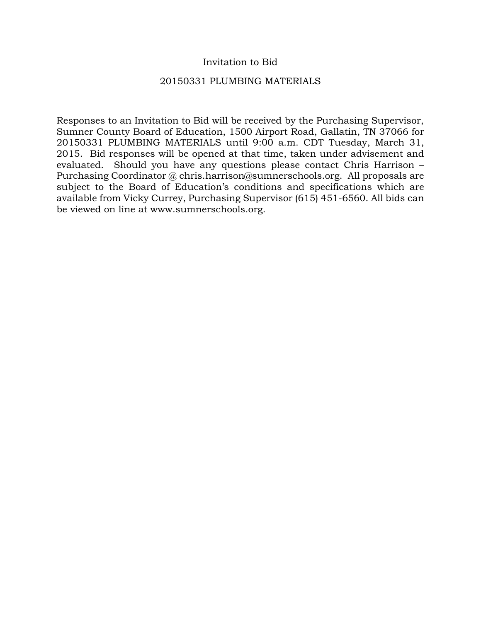## Invitation to Bid

## 20150331 PLUMBING MATERIALS

Responses to an Invitation to Bid will be received by the Purchasing Supervisor, Sumner County Board of Education, 1500 Airport Road, Gallatin, TN 37066 for 20150331 PLUMBING MATERIALS until 9:00 a.m. CDT Tuesday, March 31, 2015. Bid responses will be opened at that time, taken under advisement and evaluated. Should you have any questions please contact Chris Harrison – Purchasing Coordinator @ chris.harrison@sumnerschools.org. All proposals are subject to the Board of Education's conditions and specifications which are available from Vicky Currey, Purchasing Supervisor (615) 451-6560. All bids can be viewed on line at www.sumnerschools.org.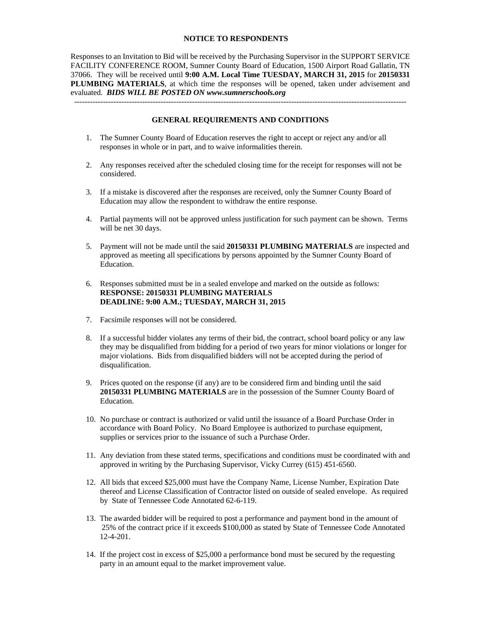#### **NOTICE TO RESPONDENTS**

Responses to an Invitation to Bid will be received by the Purchasing Supervisor in the SUPPORT SERVICE FACILITY CONFERENCE ROOM, Sumner County Board of Education, 1500 Airport Road Gallatin, TN 37066. They will be received until **9:00 A.M. Local Time TUESDAY, MARCH 31, 2015** for **20150331 PLUMBING MATERIALS**, at which time the responses will be opened, taken under advisement and evaluated. *BIDS WILL BE POSTED ON www.sumnerschools.org* 

#### **GENERAL REQUIREMENTS AND CONDITIONS**

-------------------------------------------------------------------------------------------------------------------------------

- 1. The Sumner County Board of Education reserves the right to accept or reject any and/or all responses in whole or in part, and to waive informalities therein.
- 2. Any responses received after the scheduled closing time for the receipt for responses will not be considered.
- 3. If a mistake is discovered after the responses are received, only the Sumner County Board of Education may allow the respondent to withdraw the entire response.
- 4. Partial payments will not be approved unless justification for such payment can be shown. Terms will be net 30 days.
- 5. Payment will not be made until the said **20150331 PLUMBING MATERIALS** are inspected and approved as meeting all specifications by persons appointed by the Sumner County Board of Education.
- 6. Responses submitted must be in a sealed envelope and marked on the outside as follows: **RESPONSE: 20150331 PLUMBING MATERIALS DEADLINE: 9:00 A.M.; TUESDAY, MARCH 31, 2015**
- 7. Facsimile responses will not be considered.
- 8. If a successful bidder violates any terms of their bid, the contract, school board policy or any law they may be disqualified from bidding for a period of two years for minor violations or longer for major violations. Bids from disqualified bidders will not be accepted during the period of disqualification.
- 9. Prices quoted on the response (if any) are to be considered firm and binding until the said **20150331 PLUMBING MATERIALS** are in the possession of the Sumner County Board of Education.
- 10. No purchase or contract is authorized or valid until the issuance of a Board Purchase Order in accordance with Board Policy. No Board Employee is authorized to purchase equipment, supplies or services prior to the issuance of such a Purchase Order.
- 11. Any deviation from these stated terms, specifications and conditions must be coordinated with and approved in writing by the Purchasing Supervisor, Vicky Currey (615) 451-6560.
- 12. All bids that exceed \$25,000 must have the Company Name, License Number, Expiration Date thereof and License Classification of Contractor listed on outside of sealed envelope. As required by State of Tennessee Code Annotated 62-6-119.
- 13. The awarded bidder will be required to post a performance and payment bond in the amount of 25% of the contract price if it exceeds \$100,000 as stated by State of Tennessee Code Annotated 12-4-201.
- 14. If the project cost in excess of \$25,000 a performance bond must be secured by the requesting party in an amount equal to the market improvement value.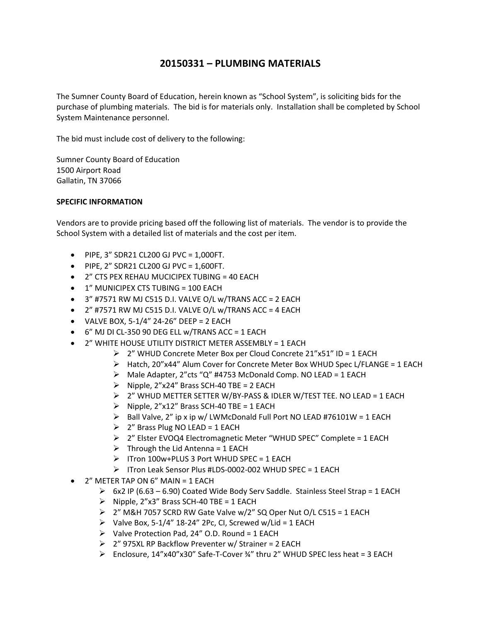# **20150331 – PLUMBING MATERIALS**

The Sumner County Board of Education, herein known as "School System", is soliciting bids for the purchase of plumbing materials. The bid is for materials only. Installation shall be completed by School System Maintenance personnel.

The bid must include cost of delivery to the following:

Sumner County Board of Education 1500 Airport Road Gallatin, TN 37066

### **SPECIFIC INFORMATION**

Vendors are to provide pricing based off the following list of materials. The vendor is to provide the School System with a detailed list of materials and the cost per item.

- $\bullet$  PIPE, 3" SDR21 CL200 GJ PVC = 1,000FT.
- $\bullet$  PIPE, 2" SDR21 CL200 GJ PVC = 1,600FT.
- 2" CTS PEX REHAU MUCICIPEX TUBING = 40 EACH
- 1" MUNICIPEX CTS TUBING = 100 EACH
- $\bullet$  3" #7571 RW MJ C515 D.I. VALVE O/L w/TRANS ACC = 2 EACH
- $\bullet$  2" #7571 RW MJ C515 D.I. VALVE O/L w/TRANS ACC = 4 EACH
- VALVE BOX, 5‐1/4" 24‐26" DEEP = 2 EACH
- 6" MJ DI CL‐350 90 DEG ELL w/TRANS ACC = 1 EACH
- 2" WHITE HOUSE UTILITY DISTRICT METER ASSEMBLY = 1 EACH
	- 2" WHUD Concrete Meter Box per Cloud Concrete 21"x51" ID = 1 EACH
	- $\triangleright$  Hatch, 20"x44" Alum Cover for Concrete Meter Box WHUD Spec L/FLANGE = 1 EACH
	- $\triangleright$  Male Adapter, 2"cts "Q" #4753 McDonald Comp. NO LEAD = 1 EACH
	- $\triangleright$  Nipple, 2"x24" Brass SCH-40 TBE = 2 EACH
	- 2" WHUD METTER SETTER W/BY‐PASS & IDLER W/TEST TEE. NO LEAD = 1 EACH
	- $\triangleright$  Nipple, 2"x12" Brass SCH-40 TBE = 1 EACH
	- $\triangleright$  Ball Valve, 2" ip x ip w/ LWMcDonald Full Port NO LEAD #76101W = 1 EACH
	- $\geq$  2" Brass Plug NO LEAD = 1 EACH
	- > 2" Elster EVOQ4 Electromagnetic Meter "WHUD SPEC" Complete = 1 EACH
	- $\triangleright$  Through the Lid Antenna = 1 EACH
	- $\triangleright$  ITron 100w+PLUS 3 Port WHUD SPEC = 1 EACH
	- ITron Leak Sensor Plus #LDS‐0002‐002 WHUD SPEC = 1 EACH
- 2" METER TAP ON 6" MAIN = 1 EACH
	- $\triangleright$  6x2 IP (6.63 6.90) Coated Wide Body Serv Saddle. Stainless Steel Strap = 1 EACH
	- $\triangleright$  Nipple, 2"x3" Brass SCH-40 TBE = 1 EACH
	- $\geq$  2" M&H 7057 SCRD RW Gate Valve w/2" SQ Oper Nut O/L C515 = 1 EACH
	- $\triangleright$  Valve Box, 5-1/4" 18-24" 2Pc, CI, Screwed w/Lid = 1 EACH
	- $\triangleright$  Valve Protection Pad, 24" O.D. Round = 1 EACH
	- 2" 975XL RP Backflow Preventer w/ Strainer = 2 EACH
	- Enclosure, 14"x40"x30" Safe‐T‐Cover ¾" thru 2" WHUD SPEC less heat = 3 EACH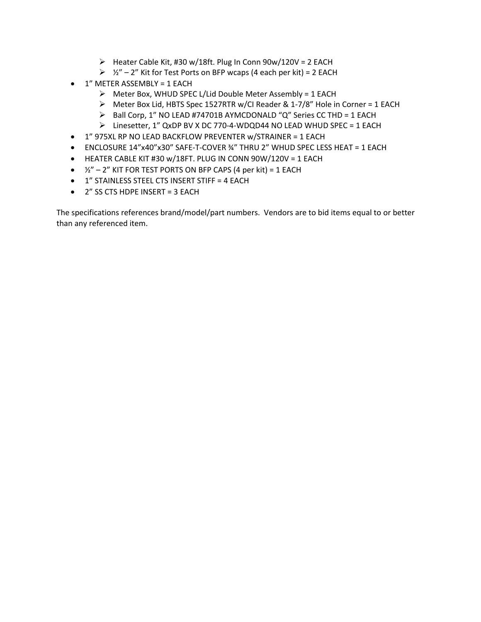- $\triangleright$  Heater Cable Kit, #30 w/18ft. Plug In Conn 90w/120V = 2 EACH
- $\geq 2'' 2''$  Kit for Test Ports on BFP wcaps (4 each per kit) = 2 EACH
- 1" METER ASSEMBLY = 1 EACH
	- $\triangleright$  Meter Box, WHUD SPEC L/Lid Double Meter Assembly = 1 EACH
	- Meter Box Lid, HBTS Spec 1527RTR w/CI Reader & 1‐7/8" Hole in Corner = 1 EACH
	- $\triangleright$  Ball Corp, 1" NO LEAD #74701B AYMCDONALD "Q" Series CC THD = 1 EACH
	- Linesetter, 1" QxDP BV X DC 770‐4‐WDQD44 NO LEAD WHUD SPEC = 1 EACH
- 1" 975XL RP NO LEAD BACKFLOW PREVENTER w/STRAINER = 1 EACH
- ENCLOSURE 14"x40"x30" SAFE‐T‐COVER ¾" THRU 2" WHUD SPEC LESS HEAT = 1 EACH
- $\bullet$  HEATER CABLE KIT #30 w/18FT. PLUG IN CONN 90W/120V = 1 EACH
- $\cdot$   $\frac{1}{2}$ " 2" KIT FOR TEST PORTS ON BFP CAPS (4 per kit) = 1 EACH
- 1" STAINLESS STEEL CTS INSERT STIFF = 4 EACH
- 2" SS CTS HDPE INSERT = 3 EACH

The specifications references brand/model/part numbers. Vendors are to bid items equal to or better than any referenced item.